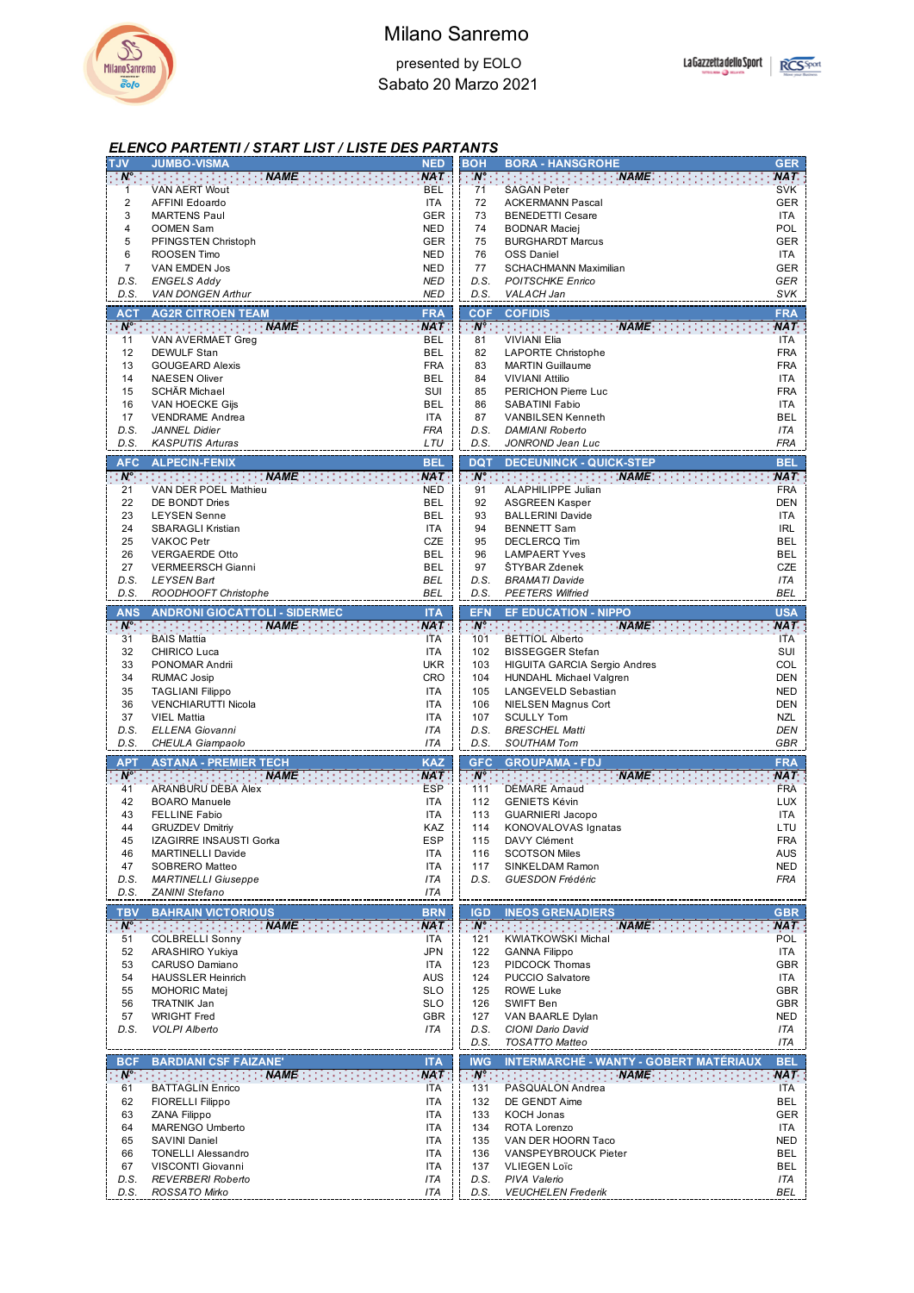

## Milano Sanremo presented by EOLO Sabato 20 Marzo 2021



## *ELENCO PARTENTI / START LIST / LISTE DES PARTANTS*

| <b>TJV</b>                           | <b>JUMBO-VISMA</b>                                                                                                                                                        | <b>NED</b>               | вон                         | <b>BORA - HANSGROHE</b>                                                                                    | <b>GER</b>               |
|--------------------------------------|---------------------------------------------------------------------------------------------------------------------------------------------------------------------------|--------------------------|-----------------------------|------------------------------------------------------------------------------------------------------------|--------------------------|
|                                      | A MARA A SA SA SA SA SA SA SA MAME A SA SA SA SA SA SA SA                                                                                                                 | NAT.                     | $\cdot$ : $N^{\circ}$ :     | <b>ENDER HERE HERE WAME:</b> HERE HERE HERE HE WAT                                                         |                          |
| 1                                    | VAN AERT Wout                                                                                                                                                             | <b>BEL</b>               | 71                          | <b>SAGAN Peter</b>                                                                                         | <b>SVK</b>               |
| $\overline{2}$                       | <b>AFFINI Edoardo</b>                                                                                                                                                     | <b>ITA</b>               | 72                          | <b>ACKERMANN Pascal</b>                                                                                    | <b>GER</b>               |
| 3<br>4                               | <b>MARTENS Paul</b>                                                                                                                                                       | <b>GER</b><br><b>NED</b> | 73<br>74                    | <b>BENEDETTI Cesare</b>                                                                                    | <b>ITA</b><br>POL        |
| 5                                    | OOMEN Sam<br>PFINGSTEN Christoph                                                                                                                                          | <b>GER</b>               | 75                          | <b>BODNAR Maciej</b><br><b>BURGHARDT Marcus</b>                                                            | <b>GER</b>               |
| 6                                    | ROOSEN Timo                                                                                                                                                               | <b>NED</b>               | 76                          | <b>OSS Daniel</b>                                                                                          | <b>ITA</b>               |
| $\overline{7}$                       | VAN EMDEN Jos                                                                                                                                                             | <b>NED</b>               | 77                          | SCHACHMANN Maximilian                                                                                      | <b>GER</b>               |
| D.S.                                 | <b>ENGELS Addy</b>                                                                                                                                                        | <b>NED</b>               | D.S.                        | <b>POITSCHKE Enrico</b>                                                                                    | GER                      |
| D.S.                                 | <b>VAN DONGEN Arthur</b>                                                                                                                                                  | <b>NED</b>               | D.S.                        | VALACH Jan                                                                                                 | SVK                      |
|                                      |                                                                                                                                                                           |                          |                             |                                                                                                            |                          |
| <b>ACT</b>                           | <b>AG2R CITROEN TEAM</b>                                                                                                                                                  | <b>FRA</b>               | <b>COF</b>                  | <b>COFIDIS</b>                                                                                             | <b>FRA</b>               |
| 11                                   | E ANN EARLY AN AIR AN AIR AN AM BHAINNEACH AN AIR AN AIR AN AIR AN AIR A<br>VAN AVERMAET Greg                                                                             | : NAT :                  |                             | E MS ER ER ER ER ER ER ER ER MAMER ER ER ER ER ER ER ER ER<br><b>VIVIANI Elia</b>                          | :NAT:                    |
| 12                                   | <b>DEWULF Stan</b>                                                                                                                                                        | <b>BEL</b><br><b>BEL</b> | 81<br>82                    | <b>LAPORTE Christophe</b>                                                                                  | <b>ITA</b><br><b>FRA</b> |
| 13                                   | <b>GOUGEARD Alexis</b>                                                                                                                                                    | <b>FRA</b>               | 83                          | <b>MARTIN Guillaume</b>                                                                                    | <b>FRA</b>               |
| 14                                   | <b>NAESEN Oliver</b>                                                                                                                                                      | <b>BEL</b>               | 84                          | <b>VIVIANI Attilio</b>                                                                                     | <b>ITA</b>               |
| 15                                   | <b>SCHÄR Michael</b>                                                                                                                                                      | SUI                      | 85                          | PERICHON Pierre Luc                                                                                        | <b>FRA</b>               |
| 16                                   | VAN HOECKE Gijs                                                                                                                                                           | <b>BEL</b>               | 86                          | <b>SABATINI Fabio</b>                                                                                      | <b>ITA</b>               |
| 17                                   | <b>VENDRAME Andrea</b>                                                                                                                                                    | <b>ITA</b>               | 87                          | <b>VANBILSEN Kenneth</b>                                                                                   | <b>BEL</b>               |
| D.S.                                 | <b>JANNEL Didier</b>                                                                                                                                                      | <b>FRA</b>               | D.S.                        | <b>DAMIANI Roberto</b>                                                                                     | <b>ITA</b>               |
| D.S.                                 | <b>KASPUTIS Arturas</b>                                                                                                                                                   | LTU                      | D.S.                        | JONROND Jean Luc                                                                                           | <b>FRA</b>               |
| <b>AFC</b>                           | <b>ALPECIN-FENIX</b>                                                                                                                                                      | <b>BEL</b>               | <b>DQT</b>                  | <b>DECEUNINCK - QUICK-STEP</b>                                                                             | <b>BEL</b>               |
|                                      | WWW.communicated.com/site and MAME.com/communicated                                                                                                                       | <b>NAT</b>               |                             |                                                                                                            | -NAT-                    |
| 21                                   | VAN DER POEL Mathieu                                                                                                                                                      | <b>NED</b>               | 91                          | ALAPHILIPPE Julian                                                                                         | <b>FRA</b>               |
| 22                                   | DE BONDT Dries                                                                                                                                                            | <b>BEL</b>               | 92                          | <b>ASGREEN Kasper</b>                                                                                      | <b>DEN</b>               |
| 23                                   | <b>LEYSEN Senne</b>                                                                                                                                                       | <b>BEL</b>               | 93                          | <b>BALLERINI Davide</b>                                                                                    | <b>ITA</b>               |
| 24                                   | <b>SBARAGLI Kristian</b>                                                                                                                                                  | <b>ITA</b>               | 94                          | <b>BENNETT Sam</b>                                                                                         | <b>IRL</b>               |
| 25                                   | <b>VAKOC Petr</b>                                                                                                                                                         | CZE                      | 95                          | <b>DECLERCQ Tim</b>                                                                                        | <b>BEL</b>               |
| 26                                   | <b>VERGAERDE Otto</b>                                                                                                                                                     | <b>BEL</b>               | 96                          | <b>LAMPAERT Yves</b>                                                                                       | <b>BEL</b>               |
| 27                                   | <b>VERMEERSCH Gianni</b>                                                                                                                                                  | <b>BEL</b>               | 97                          | ŠTYBAR Zdenek                                                                                              | <b>CZE</b>               |
| D.S.                                 | <b>LEYSEN Bart</b>                                                                                                                                                        | <b>BEL</b>               | D.S.                        | <b>BRAMATI Davide</b>                                                                                      | ITA                      |
| D.S.                                 | ROODHOOFT Christophe                                                                                                                                                      | BEL                      | D.S.                        | <b>PEETERS Wilfried</b>                                                                                    | BEL                      |
| <b>ANS</b>                           | <b>ANDRONI GIOCATTOLI - SIDERMEC</b>                                                                                                                                      | <b>ITA</b>               | <b>EFN</b>                  | <b>EF EDUCATION - NIPPO</b>                                                                                | <b>USA</b>               |
|                                      | $\boxed{\textbf{N}^{\textbf{a}} \oplus \cdots \oplus \cdots \oplus \cdots \oplus \cdots \oplus \cdots \oplus \textbf{N}^{\textbf{A}}\textbf{M} \textbf{E} \oplus \cdots}$ | NAT. .                   |                             |                                                                                                            | <u>'NAT.</u>             |
| 31                                   | <b>BAIS Mattia</b>                                                                                                                                                        | <b>ITA</b>               | 101                         | <b>BETTIOL Alberto</b>                                                                                     | <b>ITA</b>               |
| 32                                   | <b>CHIRICO Luca</b>                                                                                                                                                       | <b>ITA</b>               | 102                         | <b>BISSEGGER Stefan</b>                                                                                    | SUI                      |
| 33                                   | PONOMAR Andrii                                                                                                                                                            | <b>UKR</b>               | 103                         | <b>HIGUITA GARCIA Sergio Andres</b>                                                                        | COL                      |
| 34                                   | <b>RUMAC Josip</b>                                                                                                                                                        | CRO                      | 104                         | <b>HUNDAHL Michael Valgren</b>                                                                             | <b>DEN</b>               |
| 35                                   | <b>TAGLIANI Filippo</b>                                                                                                                                                   | <b>ITA</b>               | 105                         | LANGEVELD Sebastian                                                                                        | <b>NED</b>               |
| 36                                   | VENCHIARUTTI Nicola                                                                                                                                                       | <b>ITA</b>               | 106                         | NIELSEN Magnus Cort                                                                                        | <b>DEN</b>               |
| 37<br>D.S.                           | <b>VIEL Mattia</b><br>ELLENA Giovanni                                                                                                                                     | <b>ITA</b><br><b>ITA</b> | 107<br>D.S.                 | <b>SCULLY Tom</b><br><b>BRESCHEL Matti</b>                                                                 | NZL<br><b>DEN</b>        |
| D.S.                                 | CHEULA Giampaolo                                                                                                                                                          | <b>ITA</b>               | D.S.                        | <b>SOUTHAM Tom</b>                                                                                         | GBR                      |
|                                      |                                                                                                                                                                           |                          |                             |                                                                                                            |                          |
| <b>APT</b>                           | <b>ASTANA - PREMIER TECH</b>                                                                                                                                              | <b>KAZ</b>               | <b>GFC</b>                  | <b>GROUPAMA - FDJ</b>                                                                                      | <b>FRA</b>               |
| $N_{\alpha}$ .<br>41                 | $: NAME$ :<br>1919 1919 1919<br>ARANBURU DEBA Alex                                                                                                                        | NAT.<br><b>ESP</b>       | 111                         | 1999 - 1999 - 1999 - 1999<br>1999 - 1999 - 1999 - 1999 - 1999 - 1999<br><b>NAME</b><br><b>DEMARE</b> Amaud | :ÑĀT:<br><b>FRA</b>      |
| 42                                   | <b>BOARO Manuele</b>                                                                                                                                                      | <b>ITA</b>               | 112                         | <b>GENIETS Kévin</b>                                                                                       | LUX                      |
| 43                                   | <b>FELLINE Fabio</b>                                                                                                                                                      | <b>ITA</b>               | 113                         | <b>GUARNIERI Jacopo</b>                                                                                    | <b>ITA</b>               |
| 44                                   | <b>GRUZDEV Dmitriy</b>                                                                                                                                                    | KAZ                      | 114                         | KONOVALOVAS Ignatas                                                                                        | LTU                      |
| 45                                   | IZAGIRRE INSAUSTI Gorka                                                                                                                                                   | <b>ESP</b>               | 115                         | DAVY Clément                                                                                               | <b>FRA</b>               |
| 46                                   | <b>MARTINELLI Davide</b>                                                                                                                                                  | <b>ITA</b>               | 116                         | <b>SCOTSON Miles</b>                                                                                       | <b>AUS</b>               |
| 47                                   | SOBRERO Matteo                                                                                                                                                            | <b>ITA</b>               | 117                         | SINKELDAM Ramon                                                                                            | <b>NED</b>               |
| D.S.                                 | <b>MARTINELLI Giuseppe</b>                                                                                                                                                | <b>ITA</b>               | D.S.                        | <b>GUESDON Frédéric</b>                                                                                    | <b>FRA</b>               |
| D.S.                                 | <b>ZANINI Stefano</b>                                                                                                                                                     | <b>ITA</b>               |                             |                                                                                                            |                          |
| <b>TBV</b>                           | <b>BAHRAIN VICTORIOUS</b>                                                                                                                                                 | <b>BRN</b>               | <b>IGD</b>                  | <b>INEOS GRENADIERS</b>                                                                                    | <b>GBR</b>               |
|                                      | WWW.communications.com                                                                                                                                                    | NAT.                     |                             | FWY FOR DEDICATE DEDICATE WANIE: FOR DE                                                                    | NAT.                     |
| 51                                   | <b>COLBRELLI Sonny</b>                                                                                                                                                    | <b>ITA</b>               | 121                         | KWIATKOWSKI Michal                                                                                         | POL                      |
| 52                                   | ARASHIRO Yukiya                                                                                                                                                           | <b>JPN</b>               | 122                         | <b>GANNA Filippo</b>                                                                                       | ITA                      |
| 53                                   | CARUSO Damiano                                                                                                                                                            | <b>ITA</b>               | 123                         | PIDCOCK Thomas                                                                                             | <b>GBR</b>               |
| 54                                   | <b>HAUSSLER Heinrich</b>                                                                                                                                                  | <b>AUS</b>               | 124                         | PUCCIO Salvatore                                                                                           | <b>ITA</b>               |
| 55<br>56                             | <b>MOHORIC Matej</b><br><b>TRATNIK Jan</b>                                                                                                                                | <b>SLO</b><br><b>SLO</b> | 125<br>126                  | <b>ROWE Luke</b><br>SWIFT Ben                                                                              | <b>GBR</b><br><b>GBR</b> |
| 57                                   | <b>WRIGHT Fred</b>                                                                                                                                                        | <b>GBR</b>               | 127                         | VAN BAARLE Dylan                                                                                           | NED                      |
| D.S.                                 | <b>VOLPI Alberto</b>                                                                                                                                                      | <b>ITA</b>               | D.S.                        | CIONI Dario David                                                                                          | ITA                      |
|                                      |                                                                                                                                                                           |                          | D.S.                        | <b>TOSATTO Matteo</b>                                                                                      | ITA                      |
|                                      |                                                                                                                                                                           |                          |                             |                                                                                                            |                          |
| <b>BCF</b><br>$\mathbf{N}^{\circ}$ : | <b>BARDIANI CSF FAIZANE'</b>                                                                                                                                              | <b>ITA</b><br>NAT.       | <b>IWG</b><br>: $N_{\circ}$ | <b>INTERMARCHÉ - WANTY - GOBERT MATÉRIAUX</b><br>NAME : : : : : :                                          | <b>BEL</b><br>:NAT.      |
| 61                                   | <b>NAME:</b><br><b>BATTAGLIN Enrico</b>                                                                                                                                   | <b>ITA</b>               | 131                         | PASQUALON Andrea                                                                                           | ITA                      |
| 62                                   | FIORELLI Filippo                                                                                                                                                          | <b>ITA</b>               | 132                         | DE GENDT Aime                                                                                              | <b>BEL</b>               |
| 63                                   | ZANA Filippo                                                                                                                                                              | <b>ITA</b>               | 133                         | <b>KOCH Jonas</b>                                                                                          | <b>GER</b>               |
| 64                                   | MARENGO Umberto                                                                                                                                                           | <b>ITA</b>               | 134                         | ROTA Lorenzo                                                                                               | ITA                      |
| 65                                   | <b>SAVINI Daniel</b>                                                                                                                                                      | ITA                      | 135                         | VAN DER HOORN Taco                                                                                         | NED                      |
| 66                                   | <b>TONELLI Alessandro</b>                                                                                                                                                 | <b>ITA</b>               | 136                         | VANSPEYBROUCK Pieter                                                                                       | <b>BEL</b>               |
| 67                                   | VISCONTI Giovanni                                                                                                                                                         | <b>ITA</b>               | 137                         | <b>VLIEGEN Loïc</b>                                                                                        | BEL                      |
| D.S.                                 | <b>REVERBERI Roberto</b>                                                                                                                                                  | <b>ITA</b>               | D.S.                        | PIVA Valerio                                                                                               | <b>ITA</b>               |
| D.S.                                 | ROSSATO Mirko                                                                                                                                                             | ITA                      | D.S.                        | <b>VEUCHELEN Frederik</b>                                                                                  | BEL                      |